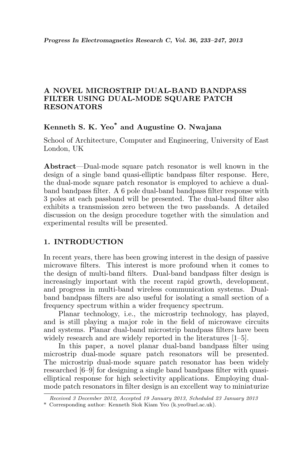## A NOVEL MICROSTRIP DUAL-BAND BANDPASS FILTER USING DUAL-MODE SQUARE PATCH RESONATORS

## Kenneth S. K. Yeo\* and Augustine O. Nwajana

School of Architecture, Computer and Engineering, University of East London, UK

Abstract—Dual-mode square patch resonator is well known in the design of a single band quasi-elliptic bandpass filter response. Here, the dual-mode square patch resonator is employed to achieve a dualband bandpass filter. A 6 pole dual-band bandpass filter response with 3 poles at each passband will be presented. The dual-band filter also exhibits a transmission zero between the two passbands. A detailed discussion on the design procedure together with the simulation and experimental results will be presented.

## 1. INTRODUCTION

In recent years, there has been growing interest in the design of passive microwave filters. This interest is more profound when it comes to the design of multi-band filters. Dual-band bandpass filter design is increasingly important with the recent rapid growth, development, and progress in multi-band wireless communication systems. Dualband bandpass filters are also useful for isolating a small section of a frequency spectrum within a wider frequency spectrum.

Planar technology, i.e., the microstrip technology, has played, and is still playing a major role in the field of microwave circuits and systems. Planar dual-band microstrip bandpass filters have been widely research and are widely reported in the literatures [1–5].

In this paper, a novel planar dual-band bandpass filter using microstrip dual-mode square patch resonators will be presented. The microstrip dual-mode square patch resonator has been widely researched [6–9] for designing a single band bandpass filter with quasielliptical response for high selectivity applications. Employing dualmode patch resonators in filter design is an excellent way to miniaturize

Received 3 December 2012, Accepted 19 January 2013, Scheduled 23 January 2013

<sup>\*</sup> Corresponding author: Kenneth Siok Kiam Yeo (k.yeo@uel.ac.uk).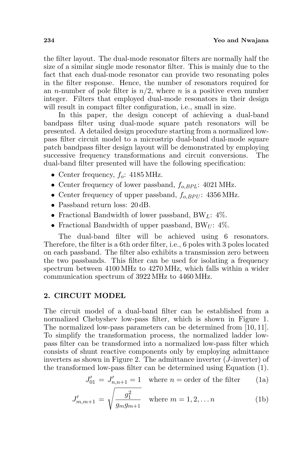the filter layout. The dual-mode resonator filters are normally half the size of a similar single mode resonator filter. This is mainly due to the fact that each dual-mode resonator can provide two resonating poles in the filter response. Hence, the number of resonators required for an *n*-number of pole filter is  $n/2$ , where *n* is a positive even number integer. Filters that employed dual-mode resonators in their design will result in compact filter configuration, i.e., small in size.

In this paper, the design concept of achieving a dual-band bandpass filter using dual-mode square patch resonators will be presented. A detailed design procedure starting from a normalized lowpass filter circuit model to a microstrip dual-band dual-mode square patch bandpass filter design layout will be demonstrated by employing successive frequency transformations and circuit conversions. The dual-band filter presented will have the following specification:

- Center frequency,  $f_o$ : 4185 MHz.
- Center frequency of lower passband,  $f_{o,BPL}$ : 4021 MHz.
- Center frequency of upper passband,  $f_{o,BPU}$ : 4356 MHz.
- Passband return loss:  $20$  dB.
- Fractional Bandwidth of lower passband, BW<sub>L</sub>:  $4\%$ .
- Fractional Bandwidth of upper passband, BW $_U$ : 4%.

The dual-band filter will be achieved using 6 resonators. Therefore, the filter is a 6th order filter, i.e., 6 poles with 3 poles located on each passband. The filter also exhibits a transmission zero between the two passbands. This filter can be used for isolating a frequency spectrum between 4100 MHz to 4270 MHz, which falls within a wider communication spectrum of 3922 MHz to 4460 MHz.

#### 2. CIRCUIT MODEL

The circuit model of a dual-band filter can be established from a normalized Chebyshev low-pass filter, which is shown in Figure 1. The normalized low-pass parameters can be determined from [10, 11]. To simplify the transformation process, the normalized ladder lowpass filter can be transformed into a normalized low-pass filter which consists of shunt reactive components only by employing admittance inverters as shown in Figure 2. The admittance inverter (J-inverter) of the transformed low-pass filter can be determined using Equation (1).

$$
J'_{01} = J'_{n,n+1} = 1
$$
 where  $n =$  order of the filter (1a)

$$
J'_{m,m+1} = \sqrt{\frac{g_1^2}{g_m g_{m+1}}} \quad \text{where } m = 1, 2, \dots n \tag{1b}
$$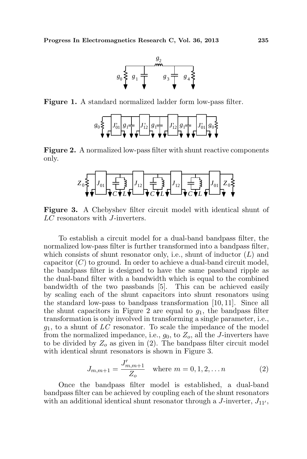

Figure 1. A standard normalized ladder form low-pass filter.



Figure 2. A normalized low-pass filter with shunt reactive components only.



Figure 3. A Chebyshev filter circuit model with identical shunt of LC resonators with J-inverters.

To establish a circuit model for a dual-band bandpass filter, the normalized low-pass filter is further transformed into a bandpass filter, which consists of shunt resonator only, i.e., shunt of inductor  $(L)$  and capacitor  $(C)$  to ground. In order to achieve a dual-band circuit model, the bandpass filter is designed to have the same passband ripple as the dual-band filter with a bandwidth which is equal to the combined bandwidth of the two passbands [5]. This can be achieved easily by scaling each of the shunt capacitors into shunt resonators using the standard low-pass to bandpass transformation [10, 11]. Since all the shunt capacitors in Figure 2 are equal to  $g_1$ , the bandpass filter transformation is only involved in transforming a single parameter, i.e.,  $g_1$ , to a shunt of  $LC$  resonator. To scale the impedance of the model from the normalized impedance, i.e.,  $g_0$ , to  $Z_o$ , all the J-inverters have to be divided by  $Z_0$  as given in (2). The bandpass filter circuit model with identical shunt resonators is shown in Figure 3.

$$
J_{m,m+1} = \frac{J'_{m,m+1}}{Z_o} \quad \text{where } m = 0, 1, 2, \dots n \tag{2}
$$

Once the bandpass filter model is established, a dual-band bandpass filter can be achieved by coupling each of the shunt resonators with an additional identical shunt resonator through a  $J$ -inverter,  $J_{11'}$ ,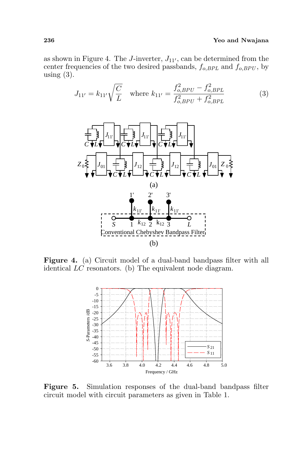#### 236 Yeo and Nwajana

as shown in Figure 4. The J-inverter,  $J_{11'}$ , can be determined from the center frequencies of the two desired passbands,  $f_{o,BPL}$  and  $f_{o,BPU}$ , by using  $(3)$ .

$$
J_{11'} = k_{11'} \sqrt{\frac{C}{L}} \quad \text{where } k_{11'} = \frac{f_{o,BPU}^2 - f_{o,BPL}^2}{f_{o,BPU}^2 + f_{o,BPL}^2} \tag{3}
$$



Figure 4. (a) Circuit model of a dual-band bandpass filter with all identical LC resonators. (b) The equivalent node diagram.



Figure 5. Simulation responses of the dual-band bandpass filter circuit model with circuit parameters as given in Table 1.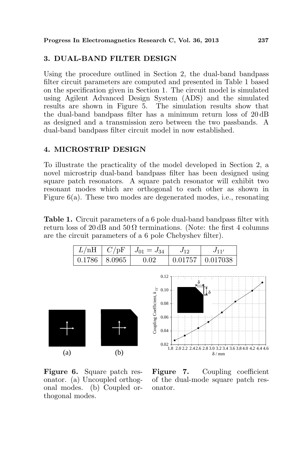### 3. DUAL-BAND FILTER DESIGN

Using the procedure outlined in Section 2, the dual-band bandpass filter circuit parameters are computed and presented in Table 1 based on the specification given in Section 1. The circuit model is simulated using Agilent Advanced Design System (ADS) and the simulated results are shown in Figure 5. The simulation results show that the dual-band bandpass filter has a minimum return loss of 20 dB as designed and a transmission zero between the two passbands. A dual-band bandpass filter circuit model in now established.

## 4. MICROSTRIP DESIGN

To illustrate the practicality of the model developed in Section 2, a novel microstrip dual-band bandpass filter has been designed using square patch resonators. A square patch resonator will exhibit two resonant modes which are orthogonal to each other as shown in Figure 6(a). These two modes are degenerated modes, i.e., resonating

Table 1. Circuit parameters of a 6 pole dual-band bandpass filter with return loss of 20 dB and  $50 \Omega$  terminations. (Note: the first 4 columns are the circuit parameters of a 6 pole Chebyshev filter).







Figure 6. Square patch resonator. (a) Uncoupled orthogonal modes. (b) Coupled orthogonal modes.

Figure 7. Coupling coefficient of the dual-mode square patch resonator.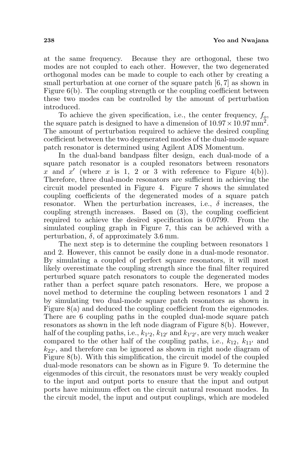at the same frequency. Because they are orthogonal, these two modes are not coupled to each other. However, the two degenerated orthogonal modes can be made to couple to each other by creating a small perturbation at one corner of the square patch [6, 7] as shown in Figure 6(b). The coupling strength or the coupling coefficient between these two modes can be controlled by the amount of perturbation introduced.

To achieve the given specification, i.e., the center frequency,  $f_0$ , the square patch is designed to have a dimension of  $10.97 \times 10.97 \text{ mm}^2$ . The amount of perturbation required to achieve the desired coupling coefficient between the two degenerated modes of the dual-mode square patch resonator is determined using Agilent ADS Momentum.

In the dual-band bandpass filter design, each dual-mode of a square patch resonator is a coupled resonators between resonators x and  $x'$  (where x is 1, 2 or 3 with reference to Figure 4(b)). Therefore, three dual-mode resonators are sufficient in achieving the circuit model presented in Figure 4. Figure 7 shows the simulated coupling coefficients of the degenerated modes of a square patch resonator. When the perturbation increases, i.e.,  $\delta$  increases, the coupling strength increases. Based on (3), the coupling coefficient required to achieve the desired specification is 0.0799. From the simulated coupling graph in Figure 7, this can be achieved with a perturbation,  $\delta$ , of approximately 3.6 mm.

The next step is to determine the coupling between resonators 1 and 2. However, this cannot be easily done in a dual-mode resonator. By simulating a coupled of perfect square resonators, it will most likely overestimate the coupling strength since the final filter required perturbed square patch resonators to couple the degenerated modes rather than a perfect square patch resonators. Here, we propose a novel method to determine the coupling between resonators 1 and 2 by simulating two dual-mode square patch resonators as shown in Figure 8(a) and deduced the coupling coefficient from the eigenmodes. There are 6 coupling paths in the coupled dual-mode square patch resonators as shown in the left node diagram of Figure 8(b). However, half of the coupling paths, i.e.,  $k_{1'2}$ ,  $k_{12'}$  and  $k_{1'2'}$ , are very much weaker compared to the other half of the coupling paths, i.e.,  $k_{12}$ ,  $k_{11'}$  and  $k_{22}$ , and therefore can be ignored as shown in right node diagram of Figure 8(b). With this simplification, the circuit model of the coupled dual-mode resonators can be shown as in Figure 9. To determine the eigenmodes of this circuit, the resonators must be very weakly coupled to the input and output ports to ensure that the input and output ports have minimum effect on the circuit natural resonant modes. In the circuit model, the input and output couplings, which are modeled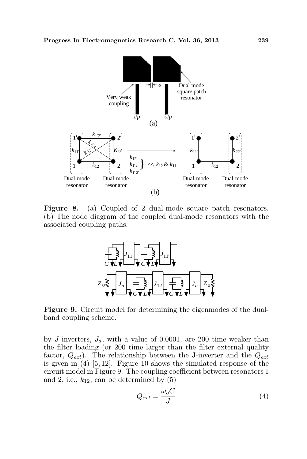

Figure 8. (a) Coupled of 2 dual-mode square patch resonators. (b) The node diagram of the coupled dual-mode resonators with the associated coupling paths.



Figure 9. Circuit model for determining the eigenmodes of the dualband coupling scheme.

by J-inverters,  $J_a$ , with a value of 0.0001, are 200 time weaker than the filter loading (or 200 time larger than the filter external quality factor,  $Q_{ext}$ ). The relationship between the J-inverter and the  $Q_{ext}$ is given in (4) [5, 12]. Figure 10 shows the simulated response of the circuit model in Figure 9. The coupling coefficient between resonators 1 and 2, i.e.,  $k_{12}$ , can be determined by  $(5)$ 

$$
Q_{ext} = \frac{\omega_o C}{J} \tag{4}
$$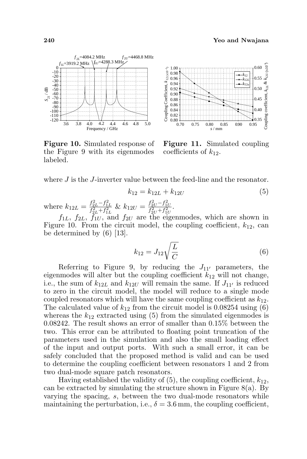

Figure 10. Simulated response of the Figure 9 with its eigenmodes labeled.



Figure 11. Simulated coupling coefficients of  $k_{12}$ .

where  $J$  is the  $J$ -inverter value between the feed-line and the resonator.

$$
k_{12} = k_{12L} + k_{12U} \tag{5}
$$

where  $k_{12L} = \frac{f_{2L}^2 - f_{1L}^2}{f_{2L}^2 + f_{1L}^2}$  &  $k_{12U} = \frac{f_{2U}^2 - f_{1U}^2}{f_{2U}^2 + f_{1U}^2}$ .

 $f_{1L}$ ,  $f_{2L}$ ,  $f_{1U}$ , and  $f_{2U}$  are the eigenmodes, which are shown in Figure 10. From the circuit model, the coupling coefficient,  $k_{12}$ , can be determined by  $(6)$  [13].

$$
k_{12} = J_{12} \sqrt{\frac{L}{C}} \tag{6}
$$

Referring to Figure 9, by reducing the  $J_{11'}$  parameters, the eigenmodes will alter but the coupling coefficient  $k_{12}$  will not change, i.e., the sum of  $k_{12L}$  and  $k_{12U}$  will remain the same. If  $J_{11'}$  is reduced to zero in the circuit model, the model will reduce to a single mode coupled resonators which will have the same coupling coefficient as  $k_{12}$ . The calculated value of  $k_{12}$  from the circuit model is 0.08254 using (6) whereas the  $k_{12}$  extracted using (5) from the simulated eigenmodes is 0.08242. The result shows an error of smaller than 0.15% between the two. This error can be attributed to floating point truncation of the parameters used in the simulation and also the small loading effect of the input and output ports. With such a small error, it can be safely concluded that the proposed method is valid and can be used to determine the coupling coefficient between resonators 1 and 2 from two dual-mode square patch resonators.

Having established the validity of  $(5)$ , the coupling coefficient,  $k_{12}$ , can be extracted by simulating the structure shown in Figure 8(a). By varying the spacing, s, between the two dual-mode resonators while maintaining the perturbation, i.e.,  $\delta = 3.6$  mm, the coupling coefficient,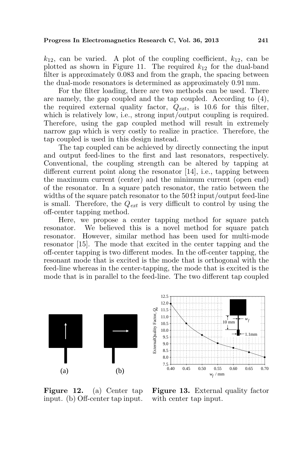$k_{12}$ , can be varied. A plot of the coupling coefficient,  $k_{12}$ , can be plotted as shown in Figure 11. The required  $k_{12}$  for the dual-band filter is approximately 0.083 and from the graph, the spacing between the dual-mode resonators is determined as approximately 0.91 mm.

For the filter loading, there are two methods can be used. There are namely, the gap coupled and the tap coupled. According to (4), the required external quality factor,  $Q_{ext}$ , is 10.6 for this filter, which is relatively low, i.e., strong input/output coupling is required. Therefore, using the gap coupled method will result in extremely narrow gap which is very costly to realize in practice. Therefore, the tap coupled is used in this design instead.

The tap coupled can be achieved by directly connecting the input and output feed-lines to the first and last resonators, respectively. Conventional, the coupling strength can be altered by tapping at different current point along the resonator [14], i.e., tapping between the maximum current (center) and the minimum current (open end) of the resonator. In a square patch resonator, the ratio between the widths of the square patch resonator to the  $50 \Omega$  input/output feed-line is small. Therefore, the  $Q_{ext}$  is very difficult to control by using the off-center tapping method.

Here, we propose a center tapping method for square patch resonator. We believed this is a novel method for square patch resonator. However, similar method has been used for multi-mode resonator [15]. The mode that excited in the center tapping and the off-center tapping is two different modes. In the off-center tapping, the resonant mode that is excited is the mode that is orthogonal with the feed-line whereas in the center-tapping, the mode that is excited is the mode that is in parallel to the feed-line. The two different tap coupled





Figure 12. (a) Center tap input. (b) Off-center tap input.

Figure 13. External quality factor with center tap input.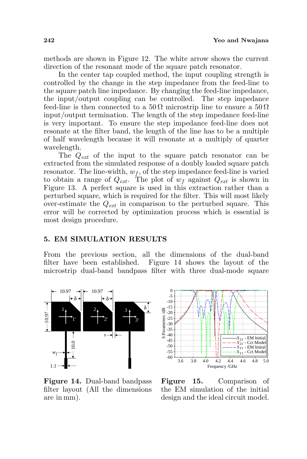methods are shown in Figure 12. The white arrow shows the current direction of the resonant mode of the square patch resonator.

In the center tap coupled method, the input coupling strength is controlled by the change in the step impedance from the feed-line to the square patch line impedance. By changing the feed-line impedance, the input/output coupling can be controlled. The step impedance feed-line is then connected to a  $50\Omega$  microstrip line to ensure a  $50\Omega$ input/output termination. The length of the step impedance feed-line is very important. To ensure the step impedance feed-line does not resonate at the filter band, the length of the line has to be a multiple of half wavelength because it will resonate at a multiply of quarter wavelength.

The  $Q_{ext}$  of the input to the square patch resonator can be extracted from the simulated response of a doubly loaded square patch resonator. The line-width,  $w_f$ , of the step impedance feed-line is varied to obtain a range of  $Q_{ext}$ . The plot of  $w_f$  against  $Q_{ext}$  is shown in Figure 13. A perfect square is used in this extraction rather than a perturbed square, which is required for the filter. This will most likely over-estimate the  $Q_{ext}$  in comparison to the perturbed square. This error will be corrected by optimization process which is essential is most design procedure.

#### 5. EM SIMULATION RESULTS

From the previous section, all the dimensions of the dual-band filter have been established. Figure 14 shows the layout of the microstrip dual-band bandpass filter with three dual-mode square



Figure 14. Dual-band bandpass filter layout (All the dimensions are in mm).

Figure 15. Comparison of the EM simulation of the initial design and the ideal circuit model.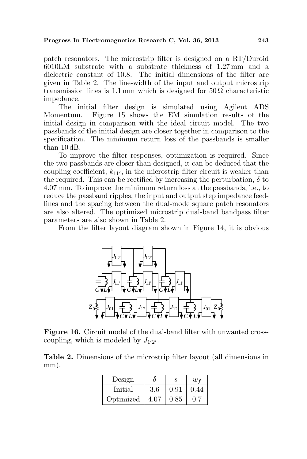patch resonators. The microstrip filter is designed on a RT/Duroid 6010LM substrate with a substrate thickness of 1.27 mm and a dielectric constant of 10.8. The initial dimensions of the filter are given in Table 2. The line-width of the input and output microstrip transmission lines is 1.1 mm which is designed for  $50\Omega$  characteristic impedance.

The initial filter design is simulated using Agilent ADS Momentum. Figure 15 shows the EM simulation results of the initial design in comparison with the ideal circuit model. The two passbands of the initial design are closer together in comparison to the specification. The minimum return loss of the passbands is smaller than 10 dB.

To improve the filter responses, optimization is required. Since the two passbands are closer than designed, it can be deduced that the coupling coefficient,  $k_{11}$ , in the microstrip filter circuit is weaker than the required. This can be rectified by increasing the perturbation,  $\delta$  to 4.07 mm. To improve the minimum return loss at the passbands, i.e., to reduce the passband ripples, the input and output step impedance feedlines and the spacing between the dual-mode square patch resonators are also altered. The optimized microstrip dual-band bandpass filter parameters are also shown in Table 2.

From the filter layout diagram shown in Figure 14, it is obvious



Figure 16. Circuit model of the dual-band filter with unwanted crosscoupling, which is modeled by  $J_{1'2'}$ .

Table 2. Dimensions of the microstrip filter layout (all dimensions in mm).

| Design    |      |      | $w_f$  |
|-----------|------|------|--------|
| Initial   | 3.6  | 0.91 | (1.44) |
| Optimized | 4.07 | 0.85 |        |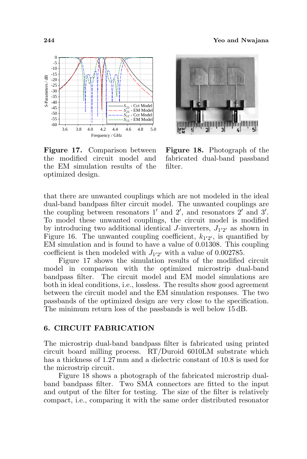



Figure 17. Comparison between the modified circuit model and the EM simulation results of the optimized design.

Figure 18. Photograph of the fabricated dual-band passband filter.

that there are unwanted couplings which are not modeled in the ideal dual-band bandpass filter circuit model. The unwanted couplings are the coupling between resonators  $1'$  and  $2'$ , and resonators  $2'$  and  $3'$ . To model these unwanted couplings, the circuit model is modified by introducing two additional identical J-inverters,  $J_{1'2'}$  as shown in Figure 16. The unwanted coupling coefficient,  $k_{1'2'}$ , is quantified by EM simulation and is found to have a value of 0.01308. This coupling coefficient is then modeled with  $J_{1'2'}$  with a value of 0.002785.

Figure 17 shows the simulation results of the modified circuit model in comparison with the optimized microstrip dual-band bandpass filter. The circuit model and EM model simulations are both in ideal conditions, i.e., lossless. The results show good agreement between the circuit model and the EM simulation responses. The two passbands of the optimized design are very close to the specification. The minimum return loss of the passbands is well below 15 dB.

### 6. CIRCUIT FABRICATION

The microstrip dual-band bandpass filter is fabricated using printed circuit board milling process. RT/Duroid 6010LM substrate which has a thickness of 1.27 mm and a dielectric constant of 10.8 is used for the microstrip circuit.

Figure 18 shows a photograph of the fabricated microstrip dualband bandpass filter. Two SMA connectors are fitted to the input and output of the filter for testing. The size of the filter is relatively compact, i.e., comparing it with the same order distributed resonator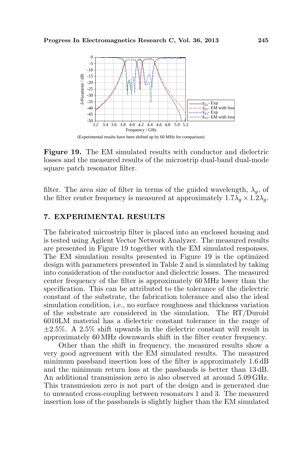

Figure 19. The EM simulated results with conductor and dielectric losses and the measured results of the microstrip dual-band dual-mode square patch resonator filter.

filter. The area size of filter in terms of the guided wavelength,  $\lambda_g$ , of the filter center frequency is measured at approximately  $1.7\lambda_g \times 1.2\lambda_g$ .

### 7. EXPERIMENTAL RESULTS

The fabricated microstrip filter is placed into an enclosed housing and is tested using Agilent Vector Network Analyzer. The measured results are presented in Figure 19 together with the EM simulated responses. The EM simulation results presented in Figure 19 is the optimized design with parameters presented in Table 2 and is simulated by taking into consideration of the conductor and dielectric losses. The measured center frequency of the filter is approximately 60 MHz lower than the specification. This can be attributed to the tolerance of the dielectric constant of the substrate, the fabrication tolerance and also the ideal simulation condition, i.e., no surface roughness and thickness variation of the substrate are considered in the simulation. The RT/Duroid 6010LM material has a dielectric constant tolerance in the range of  $\pm 2.5\%$ . A 2.5% shift upwards in the dielectric constant will result in approximately 60 MHz downwards shift in the filter center frequency.

Other than the shift in frequency, the measured results show a very good agreement with the EM simulated results. The measured minimum passband insertion loss of the filter is approximately 1.6 dB and the minimum return loss at the passbands is better than 13 dB. An additional transmission zero is also observed at around 5.09 GHz. This transmission zero is not part of the design and is generated due to unwanted cross-coupling between resonators 1 and 3. The measured insertion loss of the passbands is slightly higher than the EM simulated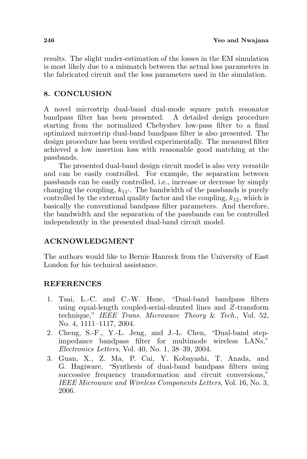results. The slight under-estimation of the losses in the EM simulation is most likely due to a mismatch between the actual loss parameters in the fabricated circuit and the loss parameters used in the simulation.

## 8. CONCLUSION

A novel microstrip dual-band dual-mode square patch resonator bandpass filter has been presented. A detailed design procedure starting from the normalized Chebyshev low-pass filter to a final optimized microstrip dual-band bandpass filter is also presented. The design procedure has been verified experimentally. The measured filter achieved a low insertion loss with reasonable good matching at the passbands.

The presented dual-band design circuit model is also very versatile and can be easily controlled. For example, the separation between passbands can be easily controlled, i.e., increase or decrease by simply changing the coupling,  $k_{11}$ . The bandwidth of the passbands is purely controlled by the external quality factor and the coupling,  $k_{12}$ , which is basically the conventional bandpass filter parameters. And therefore, the bandwidth and the separation of the passbands can be controlled independently in the presented dual-band circuit model.

# ACKNOWLEDGMENT

The authors would like to Bernie Hanreck from the University of East London for his technical assistance.

## REFERENCES

- 1. Tsai, L.-C. and C.-W. Hsue, "Dual-band bandpass filters using equal-length coupled-serial-shunted lines and Z-transform technique," IEEE Trans. Microwave Theory & Tech., Vol. 52, No. 4, 1111–1117, 2004.
- 2. Cheng, S.-F., Y.-L. Jeng, and J.-L. Chen, "Dual-band stepimpedance bandpass filter for multimode wireless LANs," Electronics Letters, Vol. 40, No. 1, 38–39, 2004.
- 3. Guan, X., Z. Ma, P. Cai, Y. Kobayashi, T. Anada, and G. Hagiware, "Synthesis of dual-band bandpass filters using successive frequency transformation and circuit conversions," IEEE Microwave and Wireless Components Letters, Vol. 16, No. 3, 2006.